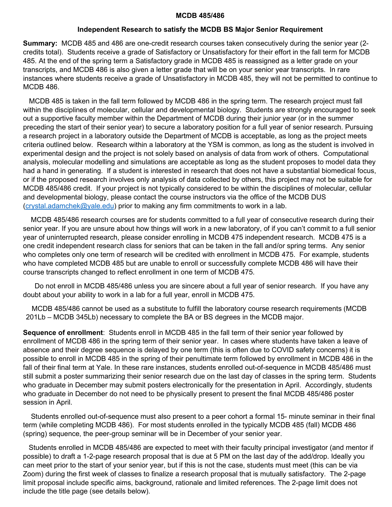### **MCDB 485/486**

### **Independent Research to satisfy the MCDB BS Major Senior Requirement**

**Summary:** MCDB 485 and 486 are one-credit research courses taken consecutively during the senior year (2 credits total). Students receive a grade of Satisfactory or Unsatisfactory for their effort in the fall term for MCDB 485. At the end of the spring term a Satisfactory grade in MCDB 485 is reassigned as a letter grade on your transcripts, and MCDB 486 is also given a letter grade that will be on your senior year transcripts. In rare instances where students receive a grade of Unsatisfactory in MCDB 485, they will not be permitted to continue to MCDB 486.

 MCDB 485 is taken in the fall term followed by MCDB 486 in the spring term. The research project must fall within the disciplines of molecular, cellular and developmental biology. Students are strongly encouraged to seek out a supportive faculty member within the Department of MCDB during their junior year (or in the summer preceding the start of their senior year) to secure a laboratory position for a full year of senior research. Pursuing a research project in a laboratory outside the Department of MCDB is acceptable, as long as the project meets criteria outlined below. Research within a laboratory at the YSM is common, as long as the student is involved in experimental design and the project is not solely based on analysis of data from work of others. Computational analysis, molecular modelling and simulations are acceptable as long as the student proposes to model data they had a hand in generating. If a student is interested in research that does not have a substantial biomedical focus, or if the proposed research involves only analysis of data collected by others, this project may not be suitable for MCDB 485/486 credit. If your project is not typically considered to be within the disciplines of molecular, cellular and developmental biology, please contact the course instructors via the office of the MCDB DUS  $(crystal.addamchek@yale.edu)$  prior to making any firm commitments to work in a lab.

 MCDB 485/486 research courses are for students committed to a full year of consecutive research during their senior year. If you are unsure about how things will work in a new laboratory, of if you can't commit to a full senior year of uninterrupted research, please consider enrolling in MCDB 475 independent research. MCDB 475 is a one credit independent research class for seniors that can be taken in the fall and/or spring terms. Any senior who completes only one term of research will be credited with enrollment in MCDB 475. For example, students who have completed MCDB 485 but are unable to enroll or successfully complete MCDB 486 will have their course transcripts changed to reflect enrollment in one term of MCDB 475.

 Do not enroll in MCDB 485/486 unless you are sincere about a full year of senior research. If you have any doubt about your ability to work in a lab for a full year, enroll in MCDB 475.

MCDB 485/486 cannot be used as a substitute to fulfill the laboratory course research requirements (MCDB 201Lb – MCDB 345Lb) necessary to complete the BA or BS degrees in the MCDB major.

**Sequence of enrollment**: Students enroll in MCDB 485 in the fall term of their senior year followed by enrollment of MCDB 486 in the spring term of their senior year. In cases where students have taken a leave of absence and their degree sequence is delayed by one term (this is often due to COVID safety concerns) it is possible to enroll in MCDB 485 in the spring of their penultimate term followed by enrollment in MCDB 486 in the fall of their final term at Yale. In these rare instances, students enrolled out-of-sequence in MCDB 485/486 must still submit a poster summarizing their senior research due on the last day of classes in the spring term. Students who graduate in December may submit posters electronically for the presentation in April. Accordingly, students who graduate in December do not need to be physically present to present the final MCDB 485/486 poster session in April.

 Students enrolled out-of-sequence must also present to a peer cohort a formal 15- minute seminar in their final term (while completing MCDB 486). For most students enrolled in the typically MCDB 485 (fall) MCDB 486 (spring) sequence, the peer-group seminar will be in December of your senior year.

Students enrolled in MCDB 485/486 are expected to meet with their faculty principal investigator (and mentor if possible) to draft a 1-2-page research proposal that is due at 5 PM on the last day of the add/drop. Ideally you can meet prior to the start of your senior year, but if this is not the case, students must meet (this can be via Zoom) during the first week of classes to finalize a research proposal that is mutually satisfactory. The 2-page limit proposal include specific aims, background, rationale and limited references. The 2-page limit does not include the title page (see details below).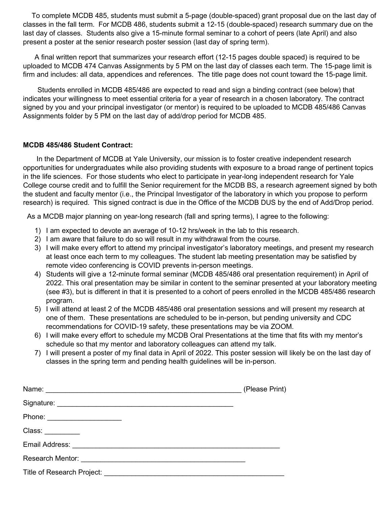To complete MCDB 485, students must submit a 5-page (double-spaced) grant proposal due on the last day of classes in the fall term. For MCDB 486, students submit a 12-15 (double-spaced) research summary due on the last day of classes. Students also give a 15-minute formal seminar to a cohort of peers (late April) and also present a poster at the senior research poster session (last day of spring term).

A final written report that summarizes your research effort (12-15 pages double spaced) is required to be uploaded to MCDB 474 Canvas Assignments by 5 PM on the last day of classes each term. The 15-page limit is firm and includes: all data, appendices and references. The title page does not count toward the 15-page limit.

Students enrolled in MCDB 485/486 are expected to read and sign a binding contract (see below) that indicates your willingness to meet essential criteria for a year of research in a chosen laboratory. The contract signed by you and your principal investigator (or mentor) is required to be uploaded to MCDB 485/486 Canvas Assignments folder by 5 PM on the last day of add/drop period for MCDB 485.

## **MCDB 485/486 Student Contract:**

In the Department of MCDB at Yale University, our mission is to foster creative independent research opportunities for undergraduates while also providing students with exposure to a broad range of pertinent topics in the life sciences. For those students who elect to participate in year-long independent research for Yale College course credit and to fulfill the Senior requirement for the MCDB BS, a research agreement signed by both the student and faculty mentor (i.e., the Principal Investigator of the laboratory in which you propose to perform research) is required. This signed contract is due in the Office of the MCDB DUS by the end of Add/Drop period.

As a MCDB major planning on year-long research (fall and spring terms), I agree to the following:

- 1) I am expected to devote an average of 10-12 hrs/week in the lab to this research.
- 2) I am aware that failure to do so will result in my withdrawal from the course.
- 3) I will make every effort to attend my principal investigator's laboratory meetings, and present my research at least once each term to my colleagues. The student lab meeting presentation may be satisfied by remote video conferencing is COVID prevents in-person meetings.
- 4) Students will give a 12-minute formal seminar (MCDB 485/486 oral presentation requirement) in April of 2022. This oral presentation may be similar in content to the seminar presented at your laboratory meeting (see #3), but is different in that it is presented to a cohort of peers enrolled in the MCDB 485/486 research program.
- 5) I will attend at least 2 of the MCDB 485/486 oral presentation sessions and will present my research at one of them. These presentations are scheduled to be in-person, but pending university and CDC recommendations for COVID-19 safety, these presentations may be via ZOOM.
- 6) I will make every effort to schedule my MCDB Oral Presentations at the time that fits with my mentor's schedule so that my mentor and laboratory colleagues can attend my talk.
- 7) I will present a poster of my final data in April of 2022. This poster session will likely be on the last day of classes in the spring term and pending health guidelines will be in-person.

|                             | (Please Print) |
|-----------------------------|----------------|
|                             |                |
| Phone: ____________________ |                |
| Class: _________            |                |
|                             |                |
|                             |                |
| Title of Research Project:  |                |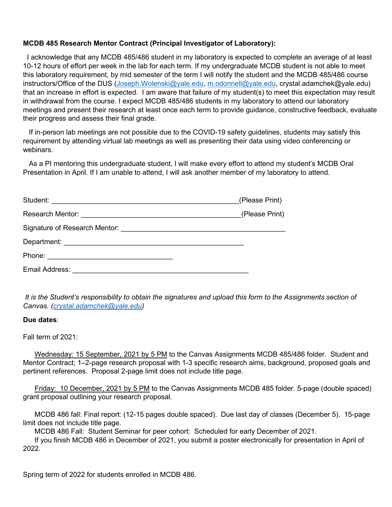## **MCDB 485 Research Mentor Contract (Principal Investigator of Laboratory):**

 I acknowledge that any MCDB 485/486 student in my laboratory is expected to complete an average of at least 10-12 hours of effort per week in the lab for each term. If my undergraduate MCDB student is not able to meet this laboratory requirement, by mid semester of the term I will notify the student and the MCDB 485/486 course instructors/Office of the DUS [\(Joseph.Wolenski@yale.edu,](mailto:Joseph.Wolenski@yale.edu) [m.odonnell@yale.edu,](mailto:m.odonnell@yale.edu) crystal.adamchek@yale.edu) that an increase in effort is expected. I am aware that failure of my student(s) to meet this expectation may result in withdrawal from the course. I expect MCDB 485/486 students in my laboratory to attend our laboratory meetings and present their research at least once each term to provide guidance, constructive feedback, evaluate their progress and assess their final grade.

 If in-person lab meetings are not possible due to the COVID-19 safety guidelines, students may satisfy this requirement by attending virtual lab meetings as well as presenting their data using video conferencing or webinars.

 As a PI mentoring this undergraduate student, I will make every effort to attend my student's MCDB Oral Presentation in April. If I am unable to attend, I will ask another member of my laboratory to attend.

|                | (Please Print) |
|----------------|----------------|
|                | (Please Print) |
|                |                |
|                |                |
|                |                |
| Email Address: |                |

*It is the Student's responsibility to obtain the signatures and upload this form to the Assignments section of Canvas. [\(crystal.adamchek@yale.edu\)](mailto:crystal.adamchek@yale.edu)* 

### **Due dates**:

Fall term of 2021:

Wednesday: 15 September, 2021 by 5 PM to the Canvas Assignments MCDB 485/486 folder. Student and Mentor Contract; 1–2-page research proposal with 1-3 specific research aims, background, proposed goals and pertinent references. Proposal 2-page limit does not include title page.

Friday: 10 December, 2021 by 5 PM to the Canvas Assignments MCDB 485 folder. 5-page (double spaced) grant proposal outlining your research proposal.

MCDB 486 fall: Final report: (12-15 pages double spaced). Due last day of classes (December 5). 15-page limit does not include title page.

MCDB 486 Fall: Student Seminar for peer cohort: Scheduled for early December of 2021.

If you finish MCDB 486 in December of 2021, you submit a poster electronically for presentation in April of 2022.

Spring term of 2022 for students enrolled in MCDB 486.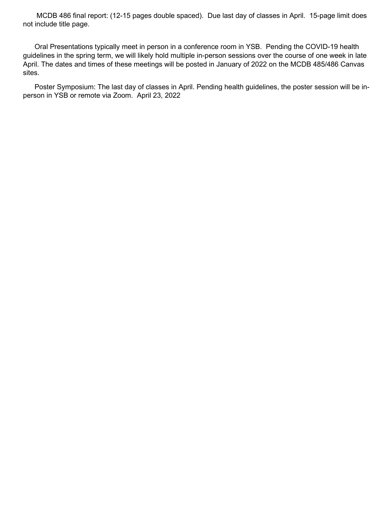MCDB 486 final report: (12-15 pages double spaced). Due last day of classes in April. 15-page limit does not include title page.

Oral Presentations typically meet in person in a conference room in YSB. Pending the COVID-19 health guidelines in the spring term, we will likely hold multiple in-person sessions over the course of one week in late April. The dates and times of these meetings will be posted in January of 2022 on the MCDB 485/486 Canvas sites.

Poster Symposium: The last day of classes in April. Pending health guidelines, the poster session will be inperson in YSB or remote via Zoom. April 23, 2022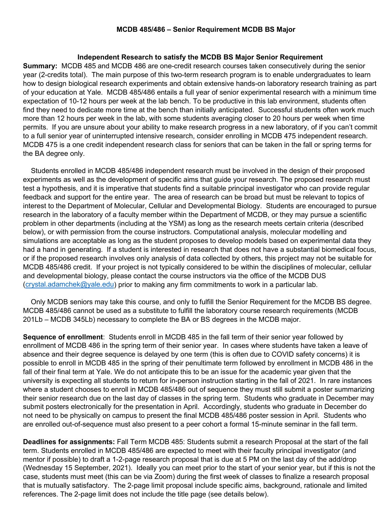### **MCDB 485/486 – Senior Requirement MCDB BS Major**

### **Independent Research to satisfy the MCDB BS Major Senior Requirement**

**Summary:** MCDB 485 and MCDB 486 are one-credit research courses taken consecutively during the senior year (2-credits total). The main purpose of this two-term research program is to enable undergraduates to learn how to design biological research experiments and obtain extensive hands-on laboratory research training as part of your education at Yale. MCDB 485/486 entails a full year of senior experimental research with a minimum time expectation of 10-12 hours per week at the lab bench. To be productive in this lab environment, students often find they need to dedicate more time at the bench than initially anticipated. Successful students often work much more than 12 hours per week in the lab, with some students averaging closer to 20 hours per week when time permits. If you are unsure about your ability to make research progress in a new laboratory, of if you can't commit to a full senior year of uninterrupted intensive research, consider enrolling in MCDB 475 independent research. MCDB 475 is a one credit independent research class for seniors that can be taken in the fall or spring terms for the BA degree only.

 Students enrolled in MCDB 485/486 independent research must be involved in the design of their proposed experiments as well as the development of specific aims that guide your research. The proposed research must test a hypothesis, and it is imperative that students find a suitable principal investigator who can provide regular feedback and support for the entire year. The area of research can be broad but must be relevant to topics of interest to the Department of Molecular, Cellular and Developmental Biology. Students are encouraged to pursue research in the laboratory of a faculty member within the Department of MCDB, or they may pursue a scientific problem in other departments (including at the YSM) as long as the research meets certain criteria (described below), or with permission from the course instructors. Computational analysis, molecular modelling and simulations are acceptable as long as the student proposes to develop models based on experimental data they had a hand in generating. If a student is interested in research that does not have a substantial biomedical focus, or if the proposed research involves only analysis of data collected by others, this project may not be suitable for MCDB 485/486 credit. If your project is not typically considered to be within the disciplines of molecular, cellular and developmental biology, please contact the course instructors via the office of the MCDB DUS [\(crystal.adamchek@yale.edu\)](mailto:crystal.adamchek@yale.edu) prior to making any firm commitments to work in a particular lab.

 Only MCDB seniors may take this course, and only to fulfill the Senior Requirement for the MCDB BS degree. MCDB 485/486 cannot be used as a substitute to fulfill the laboratory course research requirements (MCDB 201Lb – MCDB 345Lb) necessary to complete the BA or BS degrees in the MCDB major.

**Sequence of enrollment**: Students enroll in MCDB 485 in the fall term of their senior year followed by enrollment of MCDB 486 in the spring term of their senior year. In cases where students have taken a leave of absence and their degree sequence is delayed by one term (this is often due to COVID safety concerns) it is possible to enroll in MCDB 485 in the spring of their penultimate term followed by enrollment in MCDB 486 in the fall of their final term at Yale. We do not anticipate this to be an issue for the academic year given that the university is expecting all students to return for in-person instruction starting in the fall of 2021. In rare instances where a student chooses to enroll in MCDB 485/486 out of sequence they must still submit a poster summarizing their senior research due on the last day of classes in the spring term. Students who graduate in December may submit posters electronically for the presentation in April. Accordingly, students who graduate in December do not need to be physically on campus to present the final MCDB 485/486 poster session in April. Students who are enrolled out-of-sequence must also present to a peer cohort a formal 15-minute seminar in the fall term.

**Deadlines for assignments:** Fall Term MCDB 485: Students submit a research Proposal at the start of the fall term. Students enrolled in MCDB 485/486 are expected to meet with their faculty principal investigator (and mentor if possible) to draft a 1-2-page research proposal that is due at 5 PM on the last day of the add/drop (Wednesday 15 September, 2021). Ideally you can meet prior to the start of your senior year, but if this is not the case, students must meet (this can be via Zoom) during the first week of classes to finalize a research proposal that is mutually satisfactory. The 2-page limit proposal include specific aims, background, rationale and limited references. The 2-page limit does not include the title page (see details below).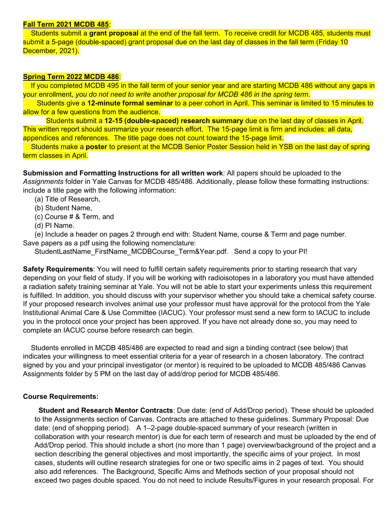### **Fall Term 2021 MCDB 485**:

 Students submit a **grant proposal** at the end of the fall term. To receive credit for MCDB 485, students must submit a 5-page (double-spaced) grant proposal due on the last day of classes in the fall term (Friday 10 December, 2021).

### **Spring Term 2022 MCDB 486**:

If you completed MCDB 495 in the fall term of your senior year and are starting MCDB 486 without any gaps in your enrollment, *you do not need to write another proposal for MCDB 486 in the spring term.*

 Students give a **12-minute formal seminar** to a peer cohort in April. This seminar is limited to 15 minutes to allow for a few questions from the audience.

Students submit a **12-15 (double-spaced) research summary** due on the last day of classes in April. This written report should summarize your research effort. The 15-page limit is firm and includes: all data, appendices and references. The title page does not count toward the 15-page limit.

 Students make a **poster** to present at the MCDB Senior Poster Session held in YSB on the last day of spring term classes in April.

**Submission and Formatting Instructions for all written work**: All papers should be uploaded to the *Assignments* folder in Yale Canvas for MCDB 485/486. Additionally, please follow these formatting instructions: include a title page with the following information:

- (a) Title of Research,
- (b) Student Name,
- (c) Course # & Term, and
- (d) PI Name.

(e) Include a header on pages 2 through end with: Student Name, course & Term and page number. Save papers as a pdf using the following nomenclature:

StudentLastName\_FirstName\_MCDBCourse\_Term&Year.pdf. Send a copy to your PI!

**Safety Requirements**: You will need to fulfill certain safety requirements prior to starting research that vary depending on your field of study. If you will be working with radioisotopes in a laboratory you must have attended a radiation safety training seminar at Yale. You will not be able to start your experiments unless this requirement is fulfilled. In addition, you should discuss with your supervisor whether you should take a chemical safety course. If your proposed research involves animal use your professor must have approval for the protocol from the Yale Institutional Animal Care & Use Committee (IACUC). Your professor must send a new form to IACUC to include you in the protocol once your project has been approved. If you have not already done so, you may need to complete an IACUC course before research can begin.

 Students enrolled in MCDB 485/486 are expected to read and sign a binding contract (see below) that indicates your willingness to meet essential criteria for a year of research in a chosen laboratory. The contract signed by you and your principal investigator (or mentor) is required to be uploaded to MCDB 485/486 Canvas Assignments folder by 5 PM on the last day of add/drop period for MCDB 485/486.

### **Course Requirements:**

 **Student and Research Mentor Contracts**: Due date: (end of Add/Drop period). These should be uploaded to the Assignments section of Canvas. Contracts are attached to these guidelines. Summary Proposal: Due date: (end of shopping period). A 1–2-page double-spaced summary of your research (written in collaboration with your research mentor) is due for each term of research and must be uploaded by the end of Add/Drop period. This should include a short (no more than 1 page) overview/background of the project and a section describing the general objectives and most importantly, the specific aims of your project. In most cases, students will outline research strategies for one or two specific aims in 2 pages of text. You should also add references. The Background, Specific Aims and Methods section of your proposal should not exceed two pages double spaced. You do not need to include Results/Figures in your research proposal. For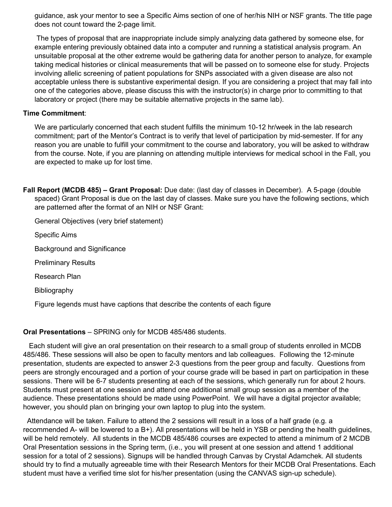guidance, ask your mentor to see a Specific Aims section of one of her/his NIH or NSF grants. The title page does not count toward the 2-page limit.

The types of proposal that are inappropriate include simply analyzing data gathered by someone else, for example entering previously obtained data into a computer and running a statistical analysis program. An unsuitable proposal at the other extreme would be gathering data for another person to analyze, for example taking medical histories or clinical measurements that will be passed on to someone else for study. Projects involving allelic screening of patient populations for SNPs associated with a given disease are also not acceptable unless there is substantive experimental design. If you are considering a project that may fall into one of the categories above, please discuss this with the instructor(s) in charge prior to committing to that laboratory or project (there may be suitable alternative projects in the same lab).

### **Time Commitment**:

We are particularly concerned that each student fulfills the minimum 10-12 hr/week in the lab research commitment; part of the Mentor's Contract is to verify that level of participation by mid-semester. If for any reason you are unable to fulfill your commitment to the course and laboratory, you will be asked to withdraw from the course. Note, if you are planning on attending multiple interviews for medical school in the Fall, you are expected to make up for lost time.

**Fall Report (MCDB 485) – Grant Proposal:** Due date: (last day of classes in December). A 5-page (double spaced) Grant Proposal is due on the last day of classes. Make sure you have the following sections, which are patterned after the format of an NIH or NSF Grant:

General Objectives (very brief statement)

Specific Aims

Background and Significance

Preliminary Results

Research Plan

Bibliography

Figure legends must have captions that describe the contents of each figure

## **Oral Presentations** – SPRING only for MCDB 485/486 students.

 Each student will give an oral presentation on their research to a small group of students enrolled in MCDB 485/486. These sessions will also be open to faculty mentors and lab colleagues. Following the 12-minute presentation, students are expected to answer 2-3 questions from the peer group and faculty. Questions from peers are strongly encouraged and a portion of your course grade will be based in part on participation in these sessions. There will be 6-7 students presenting at each of the sessions, which generally run for about 2 hours. Students must present at one session and attend one additional small group session as a member of the audience. These presentations should be made using PowerPoint. We will have a digital projector available; however, you should plan on bringing your own laptop to plug into the system.

 Attendance will be taken. Failure to attend the 2 sessions will result in a loss of a half grade (e.g. a recommended A- will be lowered to a B+). All presentations will be held in YSB or pending the health guidelines, will be held remotely. All students in the MCDB 485/486 courses are expected to attend a minimum of 2 MCDB Oral Presentation sessions in the Spring term, (i.e., you will present at one session and attend 1 additional session for a total of 2 sessions). Signups will be handled through Canvas by Crystal Adamchek. All students should try to find a mutually agreeable time with their Research Mentors for their MCDB Oral Presentations. Each student must have a verified time slot for his/her presentation (using the CANVAS sign-up schedule).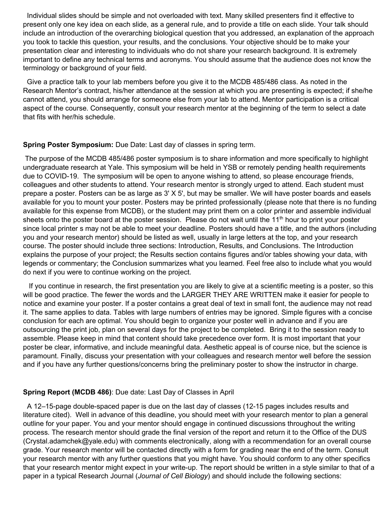Individual slides should be simple and not overloaded with text. Many skilled presenters find it effective to present only one key idea on each slide, as a general rule, and to provide a title on each slide. Your talk should include an introduction of the overarching biological question that you addressed, an explanation of the approach you took to tackle this question, your results, and the conclusions. Your objective should be to make your presentation clear and interesting to individuals who do not share your research background. It is extremely important to define any technical terms and acronyms. You should assume that the audience does not know the terminology or background of your field.

 Give a practice talk to your lab members before you give it to the MCDB 485/486 class. As noted in the Research Mentor's contract, his/her attendance at the session at which you are presenting is expected; if she/he cannot attend, you should arrange for someone else from your lab to attend. Mentor participation is a critical aspect of the course. Consequently, consult your research mentor at the beginning of the term to select a date that fits with her/his schedule.

## **Spring Poster Symposium:** Due Date: Last day of classes in spring term.

The purpose of the MCDB 485/486 poster symposium is to share information and more specifically to highlight undergraduate research at Yale. This symposium will be held in YSB or remotely pending health requirements due to COVID-19. The symposium will be open to anyone wishing to attend, so please encourage friends, colleagues and other students to attend. Your research mentor is strongly urged to attend. Each student must prepare a poster. Posters can be as large as 3' X 5', but may be smaller. We will have poster boards and easels available for you to mount your poster. Posters may be printed professionally (please note that there is no funding available for this expense from MCDB), or the student may print them on a color printer and assemble individual sheets onto the poster board at the poster session. Please do not wait until the 11<sup>th</sup> hour to print your poster since local printer s may not be able to meet your deadline. Posters should have a title, and the authors (including you and your research mentor) should be listed as well, usually in large letters at the top, and your research course. The poster should include three sections: Introduction, Results, and Conclusions. The Introduction explains the purpose of your project; the Results section contains figures and/or tables showing your data, with legends or commentary; the Conclusion summarizes what you learned. Feel free also to include what you would do next if you were to continue working on the project.

 If you continue in research, the first presentation you are likely to give at a scientific meeting is a poster, so this will be good practice. The fewer the words and the LARGER THEY ARE WRITTEN make it easier for people to notice and examine your poster. If a poster contains a great deal of text in small font, the audience may not read it. The same applies to data. Tables with large numbers of entries may be ignored. Simple figures with a concise conclusion for each are optimal. You should begin to organize your poster well in advance and if you are outsourcing the print job, plan on several days for the project to be completed. Bring it to the session ready to assemble. Please keep in mind that content should take precedence over form. It is most important that your poster be clear, informative, and include meaningful data. Aesthetic appeal is of course nice, but the science is paramount. Finally, discuss your presentation with your colleagues and research mentor well before the session and if you have any further questions/concerns bring the preliminary poster to show the instructor in charge.

## **Spring Report (MCDB 486)**: Due date: Last Day of Classes in April

A 12–15-page double-spaced paper is due on the last day of classes (12-15 pages includes results and literature cited). Well in advance of this deadline, you should meet with your research mentor to plan a general outline for your paper. You and your mentor should engage in continued discussions throughout the writing process. The research mentor should grade the final version of the report and return it to the Office of the DUS (Crystal.adamchek@yale.edu) with comments electronically, along with a recommendation for an overall course grade. Your research mentor will be contacted directly with a form for grading near the end of the term. Consult your research mentor with any further questions that you might have. You should conform to any other specifics that your research mentor might expect in your write-up. The report should be written in a style similar to that of a paper in a typical Research Journal (*Journal of Cell Biology*) and should include the following sections: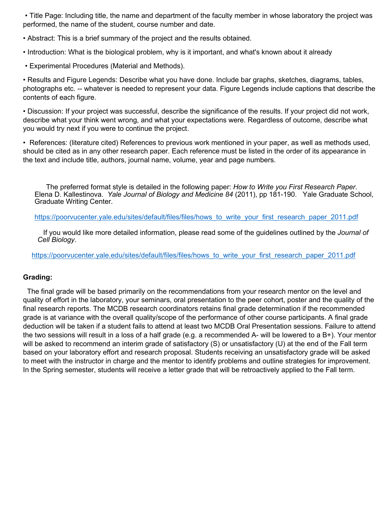• Title Page: Including title, the name and department of the faculty member in whose laboratory the project was performed, the name of the student, course number and date.

• Abstract: This is a brief summary of the project and the results obtained.

• Introduction: What is the biological problem, why is it important, and what's known about it already

• Experimental Procedures (Material and Methods).

• Results and Figure Legends: Describe what you have done. Include bar graphs, sketches, diagrams, tables, photographs etc. -- whatever is needed to represent your data. Figure Legends include captions that describe the contents of each figure.

• Discussion: If your project was successful, describe the significance of the results. If your project did not work, describe what your think went wrong, and what your expectations were. Regardless of outcome, describe what you would try next if you were to continue the project.

• References: (literature cited) References to previous work mentioned in your paper, as well as methods used, should be cited as in any other research paper. Each reference must be listed in the order of its appearance in the text and include title, authors, journal name, volume, year and page numbers.

The preferred format style is detailed in the following paper: *How to Write you First Research Paper*. Elena D. Kallestinova. *Yale Journal of Biology and Medicine 84* (2011), pp 181-190. Yale Graduate School, Graduate Writing Center.

[https://poorvucenter.yale.edu/sites/default/files/files/hows\\_to\\_write\\_your\\_first\\_research\\_paper\\_2011.pdf](https://poorvucenter.yale.edu/sites/default/files/files/hows_to_write_your_first_research_paper_2011.pdf)

If you would like more detailed information, please read some of the guidelines outlined by the *Journal of Cell Biology*.

[https://poorvucenter.yale.edu/sites/default/files/files/hows\\_to\\_write\\_your\\_first\\_research\\_paper\\_2011.pdf](https://poorvucenter.yale.edu/sites/default/files/files/hows_to_write_your_first_research_paper_2011.pdf)

## **Grading:**

 The final grade will be based primarily on the recommendations from your research mentor on the level and quality of effort in the laboratory, your seminars, oral presentation to the peer cohort, poster and the quality of the final research reports. The MCDB research coordinators retains final grade determination if the recommended grade is at variance with the overall quality/scope of the performance of other course participants. A final grade deduction will be taken if a student fails to attend at least two MCDB Oral Presentation sessions. Failure to attend the two sessions will result in a loss of a half grade (e.g. a recommended A- will be lowered to a B+). Your mentor will be asked to recommend an interim grade of satisfactory (S) or unsatisfactory (U) at the end of the Fall term based on your laboratory effort and research proposal. Students receiving an unsatisfactory grade will be asked to meet with the instructor in charge and the mentor to identify problems and outline strategies for improvement. In the Spring semester, students will receive a letter grade that will be retroactively applied to the Fall term.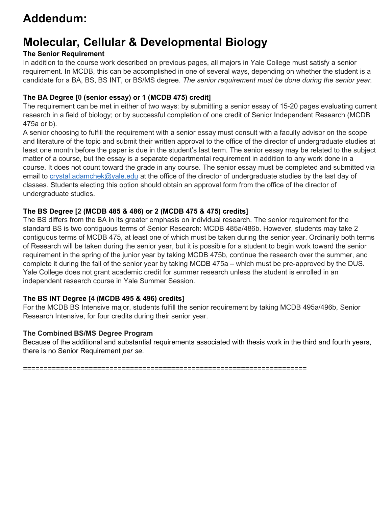# **Addendum:**

# **Molecular, Cellular & Developmental Biology**

# **The Senior Requirement**

In addition to the course work described on previous pages, all majors in Yale College must satisfy a senior requirement. In MCDB, this can be accomplished in one of several ways, depending on whether the student is a candidate for a BA, BS, BS INT, or BS/MS degree. *The senior requirement must be done during the senior year.*

## **The BA Degree [0 (senior essay) or 1 (MCDB 475) credit]**

The requirement can be met in either of two ways: by submitting a senior essay of 15-20 pages evaluating current research in a field of biology; or by successful completion of one credit of Senior Independent Research (MCDB 475a or b).

A senior choosing to fulfill the requirement with a senior essay must consult with a faculty advisor on the scope and literature of the topic and submit their written approval to the office of the director of undergraduate studies at least one month before the paper is due in the student's last term. The senior essay may be related to the subject matter of a course, but the essay is a separate departmental requirement in addition to any work done in a course. It does not count toward the grade in any course. The senior essay must be completed and submitted via email to [crystal.adamchek@yale.edu](mailto:crystal.adamchek@yale.edu) at the office of the director of undergraduate studies by the last day of classes. Students electing this option should obtain an approval form from the office of the director of undergraduate studies.

# **The BS Degree [2 (MCDB 485 & 486) or 2 (MCDB 475 & 475) credits]**

The BS differs from the BA in its greater emphasis on individual research. The senior requirement for the standard BS is two contiguous terms of Senior Research: MCDB 485a/486b. However, students may take 2 contiguous terms of MCDB 475, at least one of which must be taken during the senior year. Ordinarily both terms of Research will be taken during the senior year, but it is possible for a student to begin work toward the senior requirement in the spring of the junior year by taking MCDB 475b, continue the research over the summer, and complete it during the fall of the senior year by taking MCDB 475a – which must be pre-approved by the DUS. Yale College does not grant academic credit for summer research unless the student is enrolled in an independent research course in Yale Summer Session.

## **The BS INT Degree [4 (MCDB 495 & 496) credits]**

For the MCDB BS Intensive major, students fulfill the senior requirement by taking MCDB 495a/496b, Senior Research Intensive, for four credits during their senior year.

## **The Combined BS/MS Degree Program**

Because of the additional and substantial requirements associated with thesis work in the third and fourth years, there is no Senior Requirement *per se*.

=====================================================================